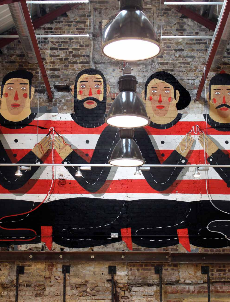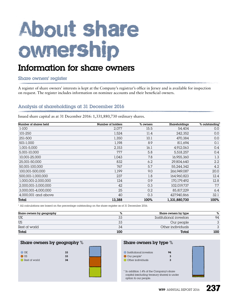# About share ownership

# Information for share owners

#### Share owners' register

A register of share owners' interests is kept at the Company's registrar's office in Jersey and is available for inspection on request. The register includes information on nominee accounts and their beneficial owners.

# Analysis of shareholdings at 31 December 2016

Issued share capital as at 31 December 2016: 1,331,880,730 ordinary shares.

| Number of shares held | Number of holders | % owners | Shareholdings | % outstanding* |
|-----------------------|-------------------|----------|---------------|----------------|
| $1-100$               | 2,077             | 15.5     | 54.404        | 0.0            |
| 101-250               | 1,524             | 11.4     | 242,352       | 0.0            |
| 251-500               | 1,350             | 10.1     | 470,384       | 0.0            |
| 501-1,000             | 1,198             | 8.9      | 811,694       | 0.1            |
| 1,001-5,000           | 2,153             | 16.1     | 4,912,063     | 0.4            |
| 5,001-10,000          | 777               | 5.8      | 5,518,257     | 0.4            |
| 10,001-25,000         | 1,043             | 7.8      | 16,955,360    | 1.3            |
| 25,001-50,000         | 832               | 6.2      | 29,804,640    | 2.2            |
| 50,001-100,000        | 767               | 5.7      | 55,244,342    | 4.2            |
| 100,001-500,000       | 1,199             | 9.0      | 266,949,087   | 20.0           |
| 500,001-1,000,000     | 237               | 1.8      | 164,960,823   | 12.4           |
| 1,000,001-2,000,000   | 124               | 0.9      | 170,179,492   | 12.8           |
| 2,000,001-3,000,000   | 42                | 0.3      | 102,019,737   | 7.7            |
| 3,000,001-4,000,000   | 25                | 0.2      | 85,817,229    | 6.4            |
| $4,000,001$ and above | 40                | 0.3      | 427,940,866   | 32.1           |
| Total                 | 13,388            | 100%     | 1,331,880,730 | 100%           |

\* All calculations are based on the percentage outstanding on the share register as of 31 December 2016.

| Share owners by geography | %   | Share owners by type    | %   |
|---------------------------|-----|-------------------------|-----|
| UK                        | 33  | Institutional investors | 94  |
| <b>US</b>                 | 33  | Our people              |     |
| Rest of world             | 34  | Other individuals       |     |
| Total                     | 100 | Total                   | 100 |



| $\odot$ UK    | 33 |
|---------------|----|
| $\bullet$ US  | 33 |
| Rest of world | 34 |



#### Share owners by type %

| Institutional investors<br>Our people*<br>Other individuals                                                        | 94 |  |
|--------------------------------------------------------------------------------------------------------------------|----|--|
| * In addition 1.4% of the Company's share<br>capital (excluding treasury shares) is under<br>option to our people. |    |  |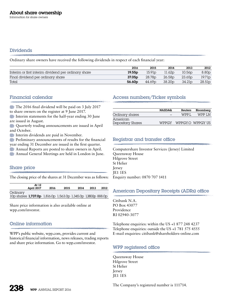## Dividends

Ordinary share owners have received the following dividends in respect of each financial year:

|                                                      | 2016               | 2015               | 2014               | 2013               | 2012              |
|------------------------------------------------------|--------------------|--------------------|--------------------|--------------------|-------------------|
| Interim or first interim dividend per ordinary share | 19.55 <sub>D</sub> | 15.91p             | ll.62p             | 10.56p             | 8.80 <sub>D</sub> |
| Final dividend per ordinary share                    | 37.05 <sub>p</sub> | 28.78p             | 26.58p             | 23.65 <sub>p</sub> | 19.71p            |
| Total                                                | 56.60 <sub>p</sub> | 44.69 <sub>p</sub> | 38.20 <sub>p</sub> | 34.21 <sub>p</sub> | $28.5$ l $p$      |

### Financial calendar

The 2016 final dividend will be paid on 3 July 2017 to share owners on the register at 9 June 2017.

Interim statements for the half-year ending 30 June are issued in August.

**Quarterly trading announcements are issued in April** and October.

Interim dividends are paid in November.

**Preliminary announcements of results for the financial** year ending 31 December are issued in the first quarter.

Annual Reports are posted to share owners in April.

Annual General Meetings are held in London in June.

# Share price

The closing price of the shares at 31 December was as follows:

|                                                                | At 12<br>April 2017 | 2016 | 2015 | 2014 | 2013 | 2012 |
|----------------------------------------------------------------|---------------------|------|------|------|------|------|
| Ordinarv                                                       |                     |      |      |      |      |      |
| 10p shares 1,737.0p 1,816.0p 1,563.0p 1,345.0p 1,380.0p 888.0p |                     |      |      |      |      |      |

Share price information is also available online at [wpp.com/investor.](http://www.wpp.com/wpp/investor/)

# Online information

WPP's public website, [wpp.com,](http://www.wpp.com/wpp//) provides current and historical financial information, news releases, trading reports and share price information. Go to [wpp.com/investor](http://www.wpp.com/wpp/investor/).

# Access numbers/Ticker symbols

|                               | <b>NASDAQ</b> | Reuters          | Bloomberg        |
|-------------------------------|---------------|------------------|------------------|
| Ordinary shares               |               | WPP <sub>L</sub> | WPP I.N          |
| American<br>Depositary Shares | WPPGY         |                  | WPPGY.O WPPGY US |

# Registrar and transfer office

Computershare Investor Services (Jersey) Limited Queensway House Hilgrove Street St Helier Jersey JE1 1ES Enquiry number: 0870 707 1411

# American Depositary Receipts (ADRs) office

Citibank N.A. PO Box 43077 Providence RI 02940-3077

Telephone enquiries: within the US +1 877 248 4237 Telephone enquiries: outside the US +1 781 575 4555 E-mail enquiries: [citibank@shareholders-online.com](mailto:citibank%40shareholders-online.com?subject=)

# WPP registered office

Queensway House Hilgrove Street St Helier *<u>Iersey</u>* JE1 1ES

The Company's registered number is 111714.